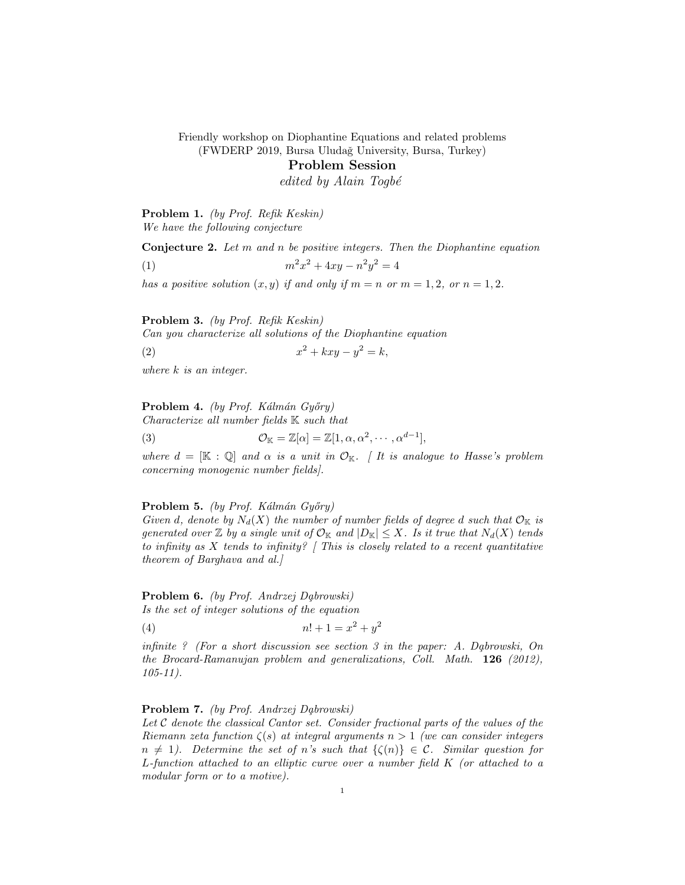Friendly workshop on Diophantine Equations and related problems (FWDERP 2019, Bursa Uludağ University, Bursa, Turkey)

Problem Session

edited by Alain Togbé

Problem 1. (by Prof. Refik Keskin)

We have the following conjecture

Conjecture 2. Let m and n be positive integers. Then the Diophantine equation (1)  $m^2x^2 + 4xy - n^2y^2 = 4$ 

has a positive solution  $(x, y)$  if and only if  $m = n$  or  $m = 1, 2$ , or  $n = 1, 2$ .

Problem 3. (by Prof. Refik Keskin)

Can you characterize all solutions of the Diophantine equation

 $(x)$  x  $x^2 + kxy - y^2 = k,$ 

where k is an integer.

Problem 4. (by Prof. Kálmán Győry)

Characterize all number fields K such that (3)  $\mathcal{O}_{\mathbb{K}} = \mathbb{Z}[\alpha] = \mathbb{Z}[1, \alpha, \alpha^2, \cdots, \alpha^{d-1}],$ 

where  $d = [\mathbb{K} : \mathbb{Q}]$  and  $\alpha$  is a unit in  $\mathcal{O}_{\mathbb{K}}$ . It is analogue to Hasse's problem concerning monogenic number fields].

### **Problem 5.** (by Prof. Kálmán Győry)

Given d, denote by  $N_d(X)$  the number of number fields of degree d such that  $\mathcal{O}_{\mathbb{K}}$  is generated over  $\mathbb Z$  by a single unit of  $\mathcal O_{\mathbb R}$  and  $|D_{\mathbb R}| \leq X$ . Is it true that  $N_d(X)$  tends to infinity as  $X$  tends to infinity? [This is closely related to a recent quantitative theorem of Barghava and al.]

Problem 6. (by Prof. Andrzej Dąbrowski) Is the set of integer solutions of the equation

(4)  $n! + 1 = x^2 + y^2$ 

infinite ? (For a short discussion see section 3 in the paper: A. Dabrowski, On the Brocard-Ramanujan problem and generalizations, Coll. Math. 126 (2012), 105-11).

## Problem 7. (by Prof. Andrzej Dąbrowski)

Let  $C$  denote the classical Cantor set. Consider fractional parts of the values of the Riemann zeta function  $\zeta(s)$  at integral arguments  $n > 1$  (we can consider integers  $n \neq 1$ ). Determine the set of n's such that  $\{\zeta(n)\}\in \mathcal{C}$ . Similar question for L-function attached to an elliptic curve over a number field K (or attached to a modular form or to a motive).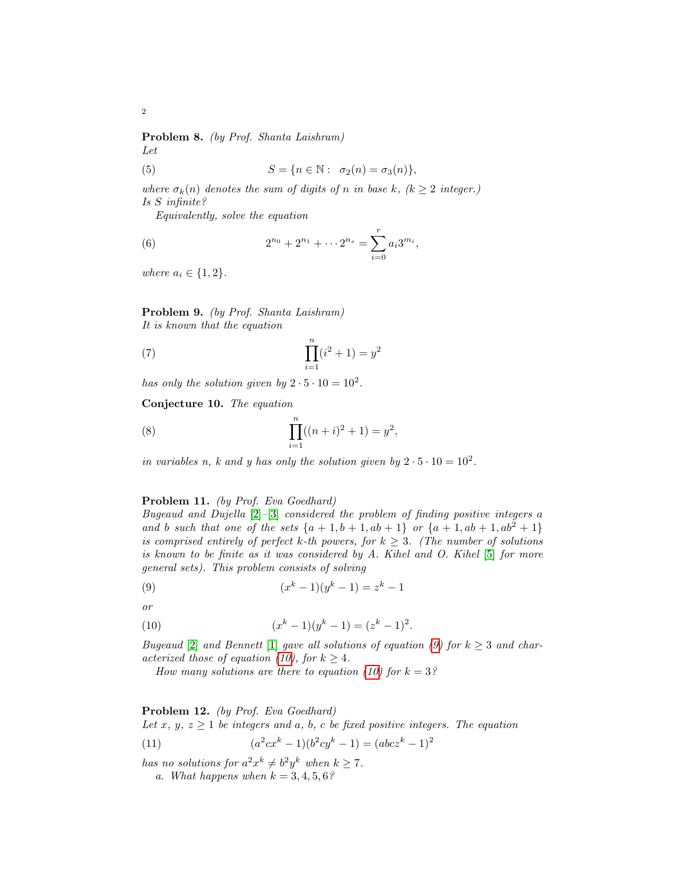Problem 8. (by Prof. Shanta Laishram) Let

(5) 
$$
S = \{n \in \mathbb{N} : \sigma_2(n) = \sigma_3(n)\},
$$

where  $\sigma_k(n)$  denotes the sum of digits of n in base k,  $(k \geq 2$  integer.) Is S infinite?

Equivalently, solve the equation

(6) 
$$
2^{n_0} + 2^{n_1} + \cdots 2^{n_s} = \sum_{i=0}^r a_i 3^{m_i},
$$

where  $a_i \in \{1, 2\}$ .

Problem 9. (by Prof. Shanta Laishram) It is known that the equation

(7) 
$$
\prod_{i=1}^{n} (i^2 + 1) = y^2
$$

has only the solution given by  $2 \cdot 5 \cdot 10 = 10^2$ .

Conjecture 10. The equation

(8) 
$$
\prod_{i=1}^{n}((n+i)^{2}+1)=y^{2},
$$

in variables n, k and y has only the solution given by  $2 \cdot 5 \cdot 10 = 10^2$ .

### Problem 11. (by Prof. Eva Goedhard)

Bugeaud and Dujella  $[2]$ - $[3]$  considered the problem of finding positive integers a and b such that one of the sets  $\{a + 1, b + 1, ab + 1\}$  or  $\{a + 1, ab + 1, ab^2 + 1\}$ is comprised entirely of perfect k-th powers, for  $k \geq 3$ . (The number of solutions is known to be finite as it was considered by  $A$ . Kihel and  $O$ . Kihel [\[5\]](#page-2-2) for more general sets). This problem consists of solving

<span id="page-1-0"></span>(9) 
$$
(x^k - 1)(y^k - 1) = z^k - 1
$$

or

(10) 
$$
(x^k - 1)(y^k - 1) = (z^k - 1)^2.
$$

Bugeaud [\[2\]](#page-2-0) and Bennett [\[1\]](#page-2-3) gave all solutions of equation [\(9\)](#page-1-0) for  $k \geq 3$  and char-acterized those of equation [\(10\)](#page-1-1), for  $k \geq 4$ .

<span id="page-1-1"></span>How many solutions are there to equation [\(10\)](#page-1-1) for  $k = 3$ ?

### Problem 12. (by Prof. Eva Goedhard)

Let x, y,  $z \geq 1$  be integers and a, b, c be fixed positive integers. The equation

(11) 
$$
(a^2cx^k - 1)(b^2cy^k - 1) = (abcz^k - 1)^2
$$

has no solutions for  $a^2x^k \neq b^2y^k$  when  $k \geq 7$ .

a. What happens when  $k = 3, 4, 5, 6$ ?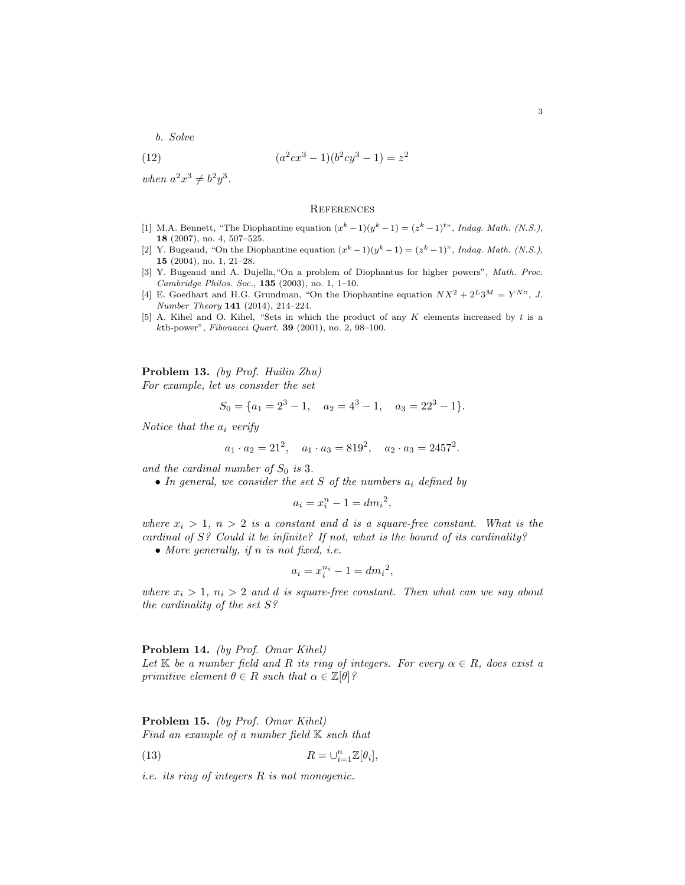b. Solve

(12) 
$$
(a^2cx^3 - 1)(b^2cy^3 - 1) = z^2
$$

when  $a^2x^3 \neq b^2y^3$ .

#### **REFERENCES**

- <span id="page-2-3"></span>[1] M.A. Bennett, "The Diophantine equation  $(x^k - 1)(y^k - 1) = (z^k - 1)^{t}$ ", *Indag. Math.* (N.S.), 18 (2007), no. 4, 507–525.
- <span id="page-2-0"></span>[2] Y. Bugeaud, "On the Diophantine equation  $(x^k - 1)(y^k - 1) = (z^k - 1)$ ", *Indag. Math.* (N.S.), 15 (2004), no. 1, 21–28.
- <span id="page-2-1"></span>[3] Y. Bugeaud and A. Dujella,"On a problem of Diophantus for higher powers", Math. Proc. Cambridge Philos. Soc., 135 (2003), no. 1, 1–10.
- [4] E. Goedhart and H.G. Grundman, "On the Diophantine equation  $NX^2 + 2^L 3^M = Y^{N}$ ", J. Number Theory 141 (2014), 214–224.
- <span id="page-2-2"></span>[5] A. Kihel and O. Kihel, "Sets in which the product of any K elements increased by t is a kth-power", Fibonacci Quart. 39 (2001), no. 2, 98–100.

Problem 13. (by Prof. Huilin Zhu) For example, let us consider the set

$$
S_0 = \{a_1 = 2^3 - 1, \quad a_2 = 4^3 - 1, \quad a_3 = 22^3 - 1\}.
$$

Notice that the  $a_i$  verify

$$
a_1 \cdot a_2 = 21^2
$$
,  $a_1 \cdot a_3 = 819^2$ ,  $a_2 \cdot a_3 = 2457^2$ .

and the cardinal number of  $S_0$  is 3.

• In general, we consider the set S of the numbers  $a_i$  defined by

$$
a_i = x_i^n - 1 = dm_i^2,
$$

where  $x_i > 1$ ,  $n > 2$  is a constant and d is a square-free constant. What is the cardinal of  $S$ ? Could it be infinite? If not, what is the bound of its cardinality?

• More generally, if  $n$  is not fixed, i.e.

$$
a_i = x_i^{n_i} - 1 = dm_i^2,
$$

where  $x_i > 1$ ,  $n_i > 2$  and d is square-free constant. Then what can we say about the cardinality of the set S?

## Problem 14. (by Prof. Omar Kihel) Let K be a number field and R its ring of integers. For every  $\alpha \in R$ , does exist a

primitive element  $\theta \in R$  such that  $\alpha \in \mathbb{Z}[\theta]$ ?

Problem 15. (by Prof. Omar Kihel) Find an example of a number field  $K$  such that

(13) 
$$
R=\cup_{i=1}^n \mathbb{Z}[\theta_i],
$$

i.e. its ring of integers R is not monogenic.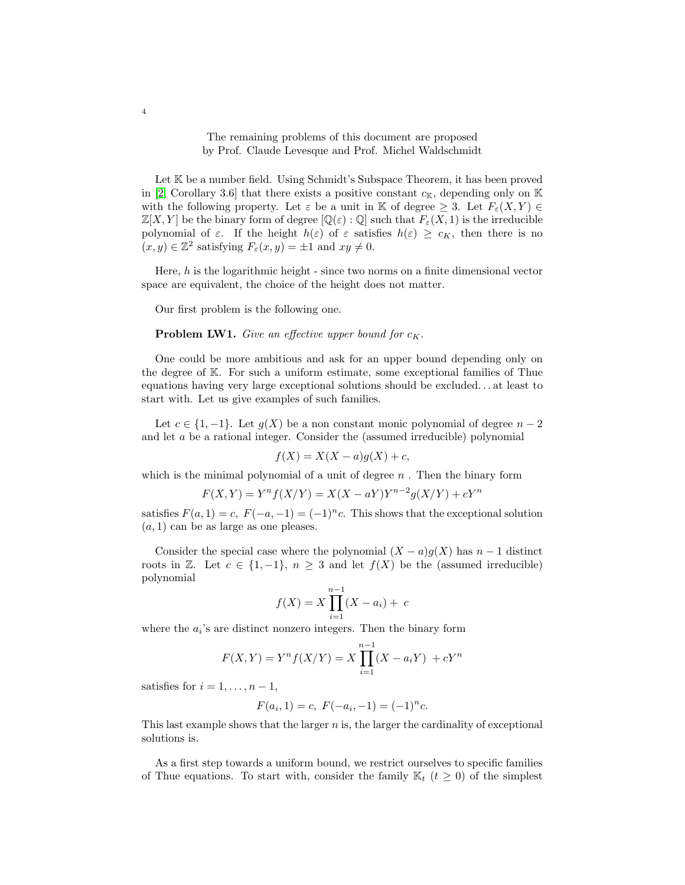# The remaining problems of this document are proposed by Prof. Claude Levesque and Prof. Michel Waldschmidt

Let K be a number field. Using Schmidt's Subspace Theorem, it has been proved in [\[2,](#page-4-0) Corollary 3.6] that there exists a positive constant  $c_{\mathbb{K}}$ , depending only on  $\mathbb{K}$ with the following property. Let  $\varepsilon$  be a unit in K of degree  $\geq 3$ . Let  $F_{\varepsilon}(X, Y) \in$  $\mathbb{Z}[X, Y]$  be the binary form of degree  $[\mathbb{Q}(\varepsilon) : \mathbb{Q}]$  such that  $F_{\varepsilon}(X, 1)$  is the irreducible polynomial of  $\varepsilon$ . If the height  $h(\varepsilon)$  of  $\varepsilon$  satisfies  $h(\varepsilon) \geq c_K$ , then there is no  $(x, y) \in \mathbb{Z}^2$  satisfying  $F_{\varepsilon}(x, y) = \pm 1$  and  $xy \neq 0$ .

Here,  $h$  is the logarithmic height - since two norms on a finite dimensional vector space are equivalent, the choice of the height does not matter.

Our first problem is the following one.

### **Problem LW1.** Give an effective upper bound for  $c_K$ .

One could be more ambitious and ask for an upper bound depending only on the degree of K. For such a uniform estimate, some exceptional families of Thue equations having very large exceptional solutions should be excluded. . . at least to start with. Let us give examples of such families.

Let  $c \in \{1, -1\}$ . Let  $g(X)$  be a non constant monic polynomial of degree  $n-2$ and let a be a rational integer. Consider the (assumed irreducible) polynomial

$$
f(X) = X(X - a)g(X) + c,
$$

which is the minimal polynomial of a unit of degree  $n$ . Then the binary form

$$
F(X,Y) = Y^n f(X/Y) = X(X - aY)Y^{n-2}g(X/Y) + cY^n
$$

satisfies  $F(a, 1) = c$ ,  $F(-a, -1) = (-1)^n c$ . This shows that the exceptional solution  $(a, 1)$  can be as large as one pleases.

Consider the special case where the polynomial  $(X - a)g(X)$  has  $n - 1$  distinct roots in Z. Let  $c \in \{1, -1\}$ ,  $n \geq 3$  and let  $f(X)$  be the (assumed irreducible) polynomial

$$
f(X) = X \prod_{i=1}^{n-1} (X - a_i) + c
$$

where the  $a_i$ 's are distinct nonzero integers. Then the binary form

$$
F(X,Y) = Y^{n} f(X/Y) = X \prod_{i=1}^{n-1} (X - a_{i}Y) + cY^{n}
$$

satisfies for  $i = 1, \ldots, n - 1$ ,

$$
F(a_i, 1) = c, F(-a_i, -1) = (-1)^n c.
$$

This last example shows that the larger  $n$  is, the larger the cardinality of exceptional solutions is.

As a first step towards a uniform bound, we restrict ourselves to specific families of Thue equations. To start with, consider the family  $\mathbb{K}_t$  ( $t \geq 0$ ) of the simplest